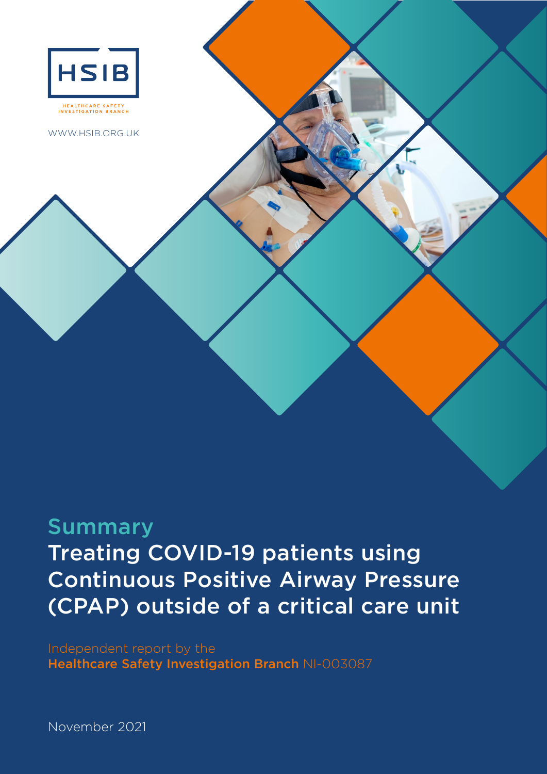

[WWW.HSIB.ORG.UK](http://WWW.HSIB.ORG.UK)

# Summary

Treating COVID-19 patients using Continuous Positive Airway Pressure (CPAP) outside of a critical care unit

Healthcare Safety Investigation Branch NI-003087

November 2021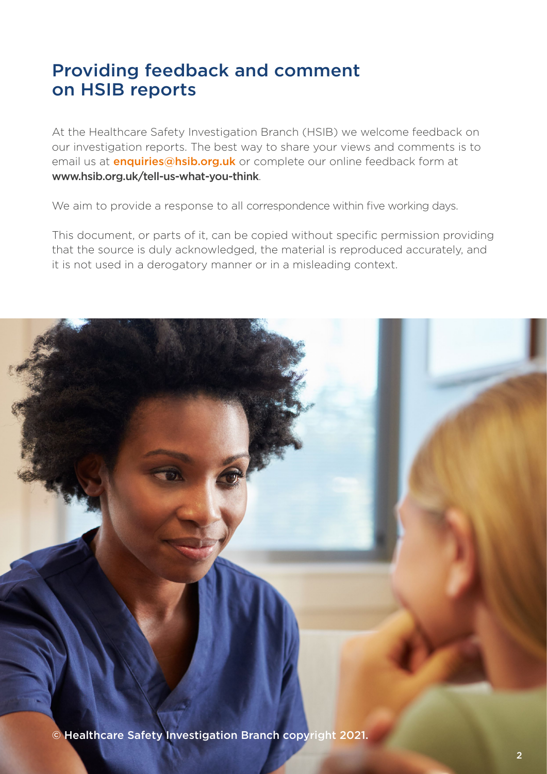## Providing feedback and comment on HSIB reports

At the Healthcare Safety Investigation Branch (HSIB) we welcome feedback on our investigation reports. The best way to share your views and comments is to email us at **[enquiries@hsib.org.uk](mailto:enquiries%40hsib.org.uk?subject=)** or complete our online feedback form at [www.hsib.org.uk/tell-us-what-you-think](http://www.hsib.org.uk/tell-us-what-you-think).

We aim to provide a response to all correspondence within five working days.

This document, or parts of it, can be copied without specific permission providing that the source is duly acknowledged, the material is reproduced accurately, and it is not used in a derogatory manner or in a misleading context.



2

2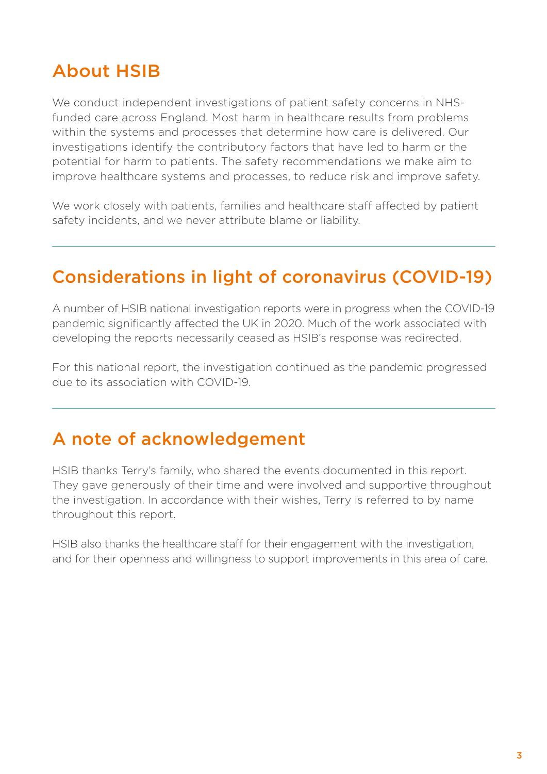# About HSIB

We conduct independent investigations of patient safety concerns in NHSfunded care across England. Most harm in healthcare results from problems within the systems and processes that determine how care is delivered. Our investigations identify the contributory factors that have led to harm or the potential for harm to patients. The safety recommendations we make aim to improve healthcare systems and processes, to reduce risk and improve safety.

We work closely with patients, families and healthcare staff affected by patient safety incidents, and we never attribute blame or liability.

## Considerations in light of coronavirus (COVID-19)

A number of HSIB national investigation reports were in progress when the COVID-19 pandemic significantly affected the UK in 2020. Much of the work associated with developing the reports necessarily ceased as HSIB's response was redirected.

For this national report, the investigation continued as the pandemic progressed due to its association with COVID-19.

## A note of acknowledgement

HSIB thanks Terry's family, who shared the events documented in this report. They gave generously of their time and were involved and supportive throughout the investigation. In accordance with their wishes, Terry is referred to by name throughout this report.

HSIB also thanks the healthcare staff for their engagement with the investigation, and for their openness and willingness to support improvements in this area of care.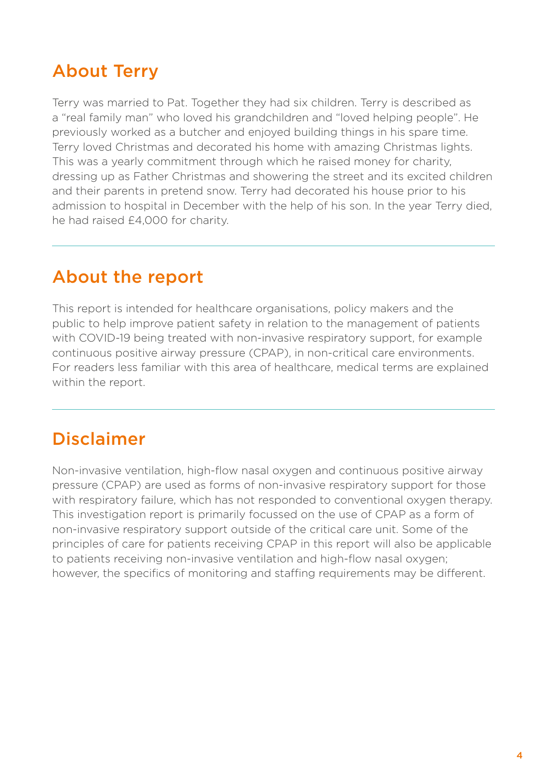# About Terry

Terry was married to Pat. Together they had six children. Terry is described as a "real family man" who loved his grandchildren and "loved helping people". He previously worked as a butcher and enjoyed building things in his spare time. Terry loved Christmas and decorated his home with amazing Christmas lights. This was a yearly commitment through which he raised money for charity, dressing up as Father Christmas and showering the street and its excited children and their parents in pretend snow. Terry had decorated his house prior to his admission to hospital in December with the help of his son. In the year Terry died, he had raised £4,000 for charity.

## About the report

This report is intended for healthcare organisations, policy makers and the public to help improve patient safety in relation to the management of patients with COVID-19 being treated with non-invasive respiratory support, for example continuous positive airway pressure (CPAP), in non-critical care environments. For readers less familiar with this area of healthcare, medical terms are explained within the report.

# Disclaimer

Non-invasive ventilation, high-flow nasal oxygen and continuous positive airway pressure (CPAP) are used as forms of non-invasive respiratory support for those with respiratory failure, which has not responded to conventional oxygen therapy. This investigation report is primarily focussed on the use of CPAP as a form of non-invasive respiratory support outside of the critical care unit. Some of the principles of care for patients receiving CPAP in this report will also be applicable to patients receiving non-invasive ventilation and high-flow nasal oxygen; however, the specifics of monitoring and staffing requirements may be different.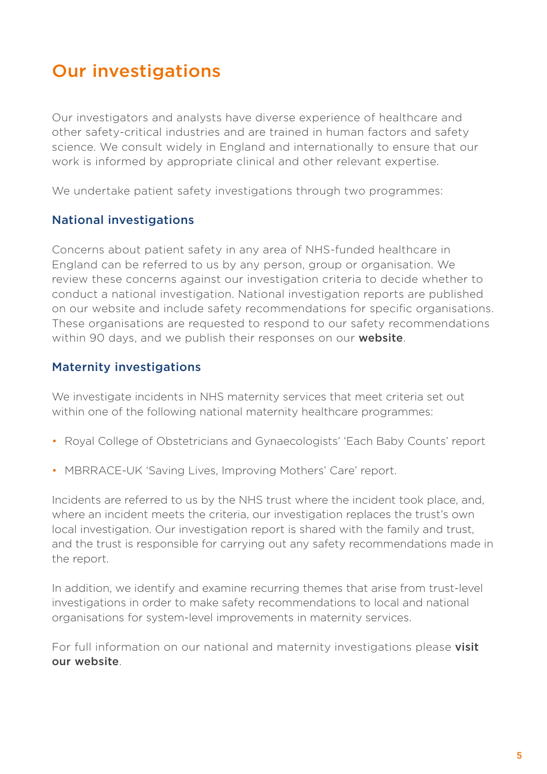# Our investigations

Our investigators and analysts have diverse experience of healthcare and other safety-critical industries and are trained in human factors and safety science. We consult widely in England and internationally to ensure that our work is informed by appropriate clinical and other relevant expertise.

We undertake patient safety investigations through two programmes:

#### National investigations

Concerns about patient safety in any area of NHS-funded healthcare in England can be referred to us by any person, group or organisation. We review these concerns against our investigation criteria to decide whether to conduct a national investigation. National investigation reports are published on our website and include safety recommendations for specific organisations. These organisations are requested to respond to our safety recommendations within 90 days, and we publish their responses on our **[website](https://www.hsib.org.uk/investigations-cases/)**.

#### Maternity investigations

We investigate incidents in NHS maternity services that meet criteria set out within one of the following national maternity healthcare programmes:

- Royal College of Obstetricians and Gynaecologists' 'Each Baby Counts' report
- MBRRACE-UK 'Saving Lives, Improving Mothers' Care' report.

Incidents are referred to us by the NHS trust where the incident took place, and, where an incident meets the criteria, our investigation replaces the trust's own local investigation. Our investigation report is shared with the family and trust, and the trust is responsible for carrying out any safety recommendations made in the report.

In addition, we identify and examine recurring themes that arise from trust-level investigations in order to make safety recommendations to local and national organisations for system-level improvements in maternity services.

For full information on our national and maternity investigations please visit [our website](https://www.hsib.org.uk/).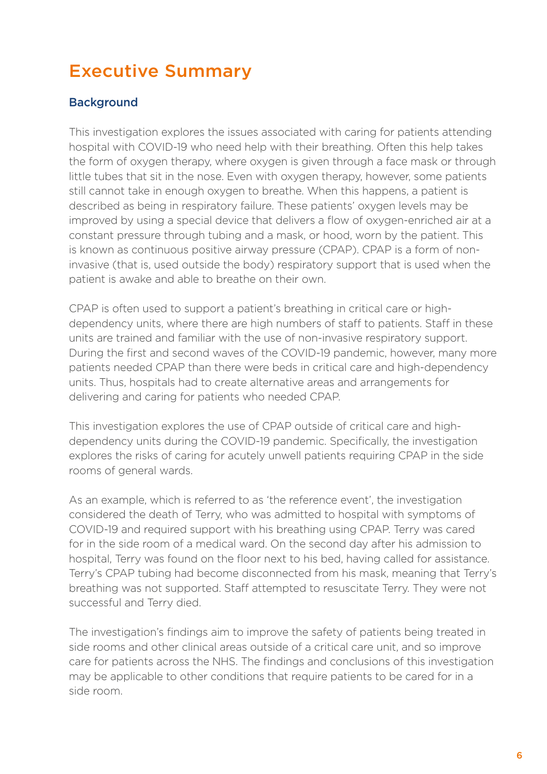## Executive Summary

#### **Background**

This investigation explores the issues associated with caring for patients attending hospital with COVID-19 who need help with their breathing. Often this help takes the form of oxygen therapy, where oxygen is given through a face mask or through little tubes that sit in the nose. Even with oxygen therapy, however, some patients still cannot take in enough oxygen to breathe. When this happens, a patient is described as being in respiratory failure. These patients' oxygen levels may be improved by using a special device that delivers a flow of oxygen-enriched air at a constant pressure through tubing and a mask, or hood, worn by the patient. This is known as continuous positive airway pressure (CPAP). CPAP is a form of noninvasive (that is, used outside the body) respiratory support that is used when the patient is awake and able to breathe on their own.

CPAP is often used to support a patient's breathing in critical care or highdependency units, where there are high numbers of staff to patients. Staff in these units are trained and familiar with the use of non-invasive respiratory support. During the first and second waves of the COVID-19 pandemic, however, many more patients needed CPAP than there were beds in critical care and high-dependency units. Thus, hospitals had to create alternative areas and arrangements for delivering and caring for patients who needed CPAP.

This investigation explores the use of CPAP outside of critical care and highdependency units during the COVID-19 pandemic. Specifically, the investigation explores the risks of caring for acutely unwell patients requiring CPAP in the side rooms of general wards.

As an example, which is referred to as 'the reference event', the investigation considered the death of Terry, who was admitted to hospital with symptoms of COVID-19 and required support with his breathing using CPAP. Terry was cared for in the side room of a medical ward. On the second day after his admission to hospital, Terry was found on the floor next to his bed, having called for assistance. Terry's CPAP tubing had become disconnected from his mask, meaning that Terry's breathing was not supported. Staff attempted to resuscitate Terry. They were not successful and Terry died.

The investigation's findings aim to improve the safety of patients being treated in side rooms and other clinical areas outside of a critical care unit, and so improve care for patients across the NHS. The findings and conclusions of this investigation may be applicable to other conditions that require patients to be cared for in a side room.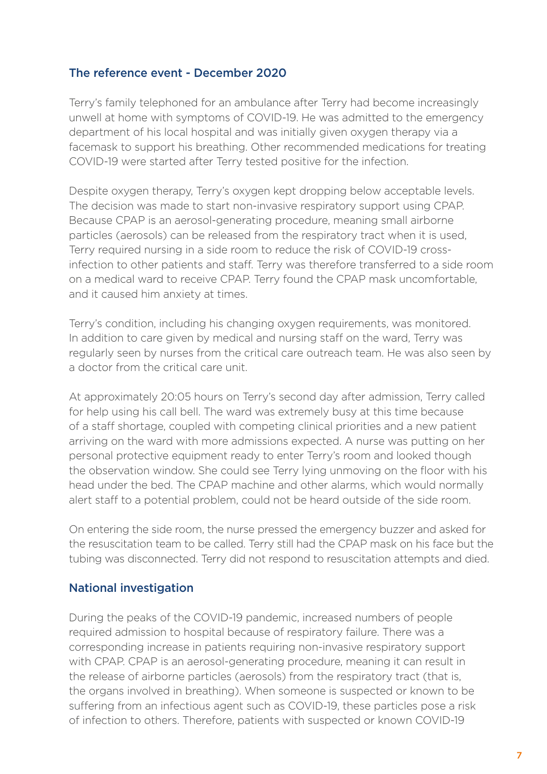#### The reference event - December 2020

Terry's family telephoned for an ambulance after Terry had become increasingly unwell at home with symptoms of COVID-19. He was admitted to the emergency department of his local hospital and was initially given oxygen therapy via a facemask to support his breathing. Other recommended medications for treating COVID-19 were started after Terry tested positive for the infection.

Despite oxygen therapy, Terry's oxygen kept dropping below acceptable levels. The decision was made to start non-invasive respiratory support using CPAP. Because CPAP is an aerosol-generating procedure, meaning small airborne particles (aerosols) can be released from the respiratory tract when it is used, Terry required nursing in a side room to reduce the risk of COVID-19 crossinfection to other patients and staff. Terry was therefore transferred to a side room on a medical ward to receive CPAP. Terry found the CPAP mask uncomfortable, and it caused him anxiety at times.

Terry's condition, including his changing oxygen requirements, was monitored. In addition to care given by medical and nursing staff on the ward, Terry was regularly seen by nurses from the critical care outreach team. He was also seen by a doctor from the critical care unit.

At approximately 20:05 hours on Terry's second day after admission, Terry called for help using his call bell. The ward was extremely busy at this time because of a staff shortage, coupled with competing clinical priorities and a new patient arriving on the ward with more admissions expected. A nurse was putting on her personal protective equipment ready to enter Terry's room and looked though the observation window. She could see Terry lying unmoving on the floor with his head under the bed. The CPAP machine and other alarms, which would normally alert staff to a potential problem, could not be heard outside of the side room.

On entering the side room, the nurse pressed the emergency buzzer and asked for the resuscitation team to be called. Terry still had the CPAP mask on his face but the tubing was disconnected. Terry did not respond to resuscitation attempts and died.

#### National investigation

During the peaks of the COVID-19 pandemic, increased numbers of people required admission to hospital because of respiratory failure. There was a corresponding increase in patients requiring non-invasive respiratory support with CPAP. CPAP is an aerosol-generating procedure, meaning it can result in the release of airborne particles (aerosols) from the respiratory tract (that is, the organs involved in breathing). When someone is suspected or known to be suffering from an infectious agent such as COVID-19, these particles pose a risk of infection to others. Therefore, patients with suspected or known COVID-19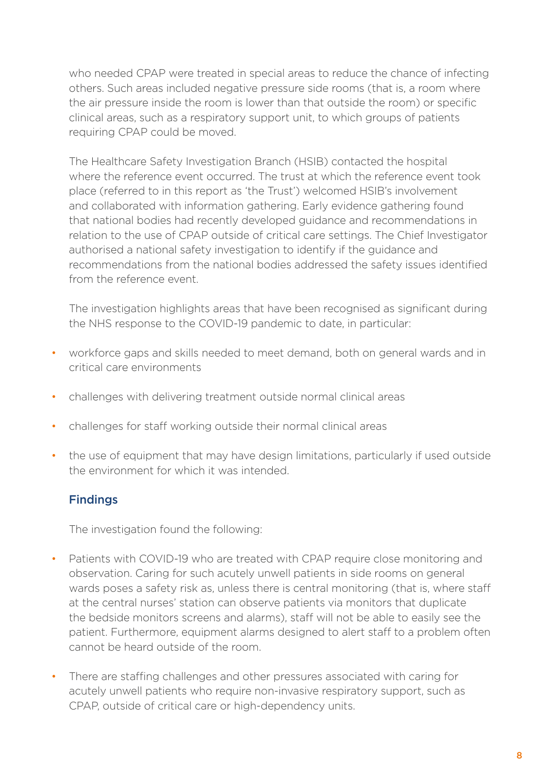who needed CPAP were treated in special areas to reduce the chance of infecting others. Such areas included negative pressure side rooms (that is, a room where the air pressure inside the room is lower than that outside the room) or specific clinical areas, such as a respiratory support unit, to which groups of patients requiring CPAP could be moved.

The Healthcare Safety Investigation Branch (HSIB) contacted the hospital where the reference event occurred. The trust at which the reference event took place (referred to in this report as 'the Trust') welcomed HSIB's involvement and collaborated with information gathering. Early evidence gathering found that national bodies had recently developed guidance and recommendations in relation to the use of CPAP outside of critical care settings. The Chief Investigator authorised a national safety investigation to identify if the guidance and recommendations from the national bodies addressed the safety issues identified from the reference event.

The investigation highlights areas that have been recognised as significant during the NHS response to the COVID-19 pandemic to date, in particular:

- workforce gaps and skills needed to meet demand, both on general wards and in critical care environments
- challenges with delivering treatment outside normal clinical areas
- challenges for staff working outside their normal clinical areas
- the use of equipment that may have design limitations, particularly if used outside the environment for which it was intended.

#### **Findings**

The investigation found the following:

- Patients with COVID-19 who are treated with CPAP require close monitoring and observation. Caring for such acutely unwell patients in side rooms on general wards poses a safety risk as, unless there is central monitoring (that is, where staff at the central nurses' station can observe patients via monitors that duplicate the bedside monitors screens and alarms), staff will not be able to easily see the patient. Furthermore, equipment alarms designed to alert staff to a problem often cannot be heard outside of the room.
- There are staffing challenges and other pressures associated with caring for acutely unwell patients who require non-invasive respiratory support, such as CPAP, outside of critical care or high-dependency units.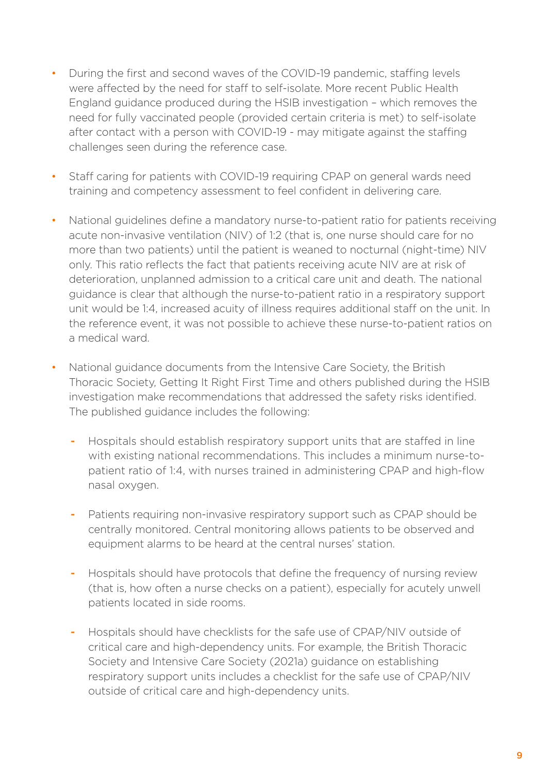- During the first and second waves of the COVID-19 pandemic, staffing levels were affected by the need for staff to self-isolate. More recent Public Health England guidance produced during the HSIB investigation – which removes the need for fully vaccinated people (provided certain criteria is met) to self-isolate after contact with a person with COVID-19 - may mitigate against the staffing challenges seen during the reference case.
- Staff caring for patients with COVID-19 requiring CPAP on general wards need training and competency assessment to feel confident in delivering care.
- National guidelines define a mandatory nurse-to-patient ratio for patients receiving acute non-invasive ventilation (NIV) of 1:2 (that is, one nurse should care for no more than two patients) until the patient is weaned to nocturnal (night-time) NIV only. This ratio reflects the fact that patients receiving acute NIV are at risk of deterioration, unplanned admission to a critical care unit and death. The national guidance is clear that although the nurse-to-patient ratio in a respiratory support unit would be 1:4, increased acuity of illness requires additional staff on the unit. In the reference event, it was not possible to achieve these nurse-to-patient ratios on a medical ward.
- National guidance documents from the Intensive Care Society, the British Thoracic Society, Getting It Right First Time and others published during the HSIB investigation make recommendations that addressed the safety risks identified. The published guidance includes the following:
	- Hospitals should establish respiratory support units that are staffed in line with existing national recommendations. This includes a minimum nurse-topatient ratio of 1:4, with nurses trained in administering CPAP and high-flow nasal oxygen.
	- Patients requiring non-invasive respiratory support such as CPAP should be centrally monitored. Central monitoring allows patients to be observed and equipment alarms to be heard at the central nurses' station.
	- Hospitals should have protocols that define the frequency of nursing review (that is, how often a nurse checks on a patient), especially for acutely unwell patients located in side rooms.
	- Hospitals should have checklists for the safe use of CPAP/NIV outside of critical care and high-dependency units. For example, the British Thoracic Society and Intensive Care Society (2021a) guidance on establishing respiratory support units includes a checklist for the safe use of CPAP/NIV outside of critical care and high-dependency units.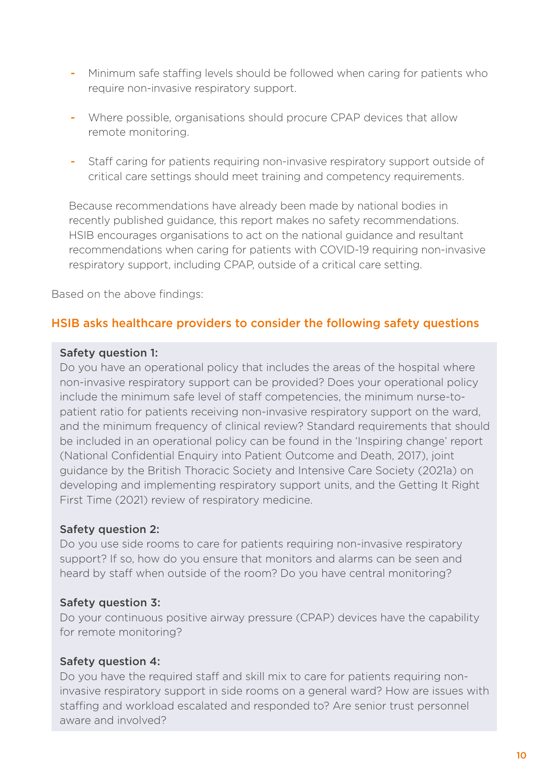- Minimum safe staffing levels should be followed when caring for patients who require non-invasive respiratory support.
- Where possible, organisations should procure CPAP devices that allow remote monitoring.
- Staff caring for patients requiring non-invasive respiratory support outside of critical care settings should meet training and competency requirements.

Because recommendations have already been made by national bodies in recently published guidance, this report makes no safety recommendations. HSIB encourages organisations to act on the national guidance and resultant recommendations when caring for patients with COVID-19 requiring non-invasive respiratory support, including CPAP, outside of a critical care setting.

Based on the above findings:

#### HSIB asks healthcare providers to consider the following safety questions

#### Safety question 1:

Do you have an operational policy that includes the areas of the hospital where non-invasive respiratory support can be provided? Does your operational policy include the minimum safe level of staff competencies, the minimum nurse-topatient ratio for patients receiving non-invasive respiratory support on the ward, and the minimum frequency of clinical review? Standard requirements that should be included in an operational policy can be found in the 'Inspiring change' report (National Confidential Enquiry into Patient Outcome and Death, 2017), joint guidance by the British Thoracic Society and Intensive Care Society (2021a) on developing and implementing respiratory support units, and the Getting It Right First Time (2021) review of respiratory medicine.

#### Safety question 2:

Do you use side rooms to care for patients requiring non-invasive respiratory support? If so, how do you ensure that monitors and alarms can be seen and heard by staff when outside of the room? Do you have central monitoring?

#### Safety question 3:

Do your continuous positive airway pressure (CPAP) devices have the capability for remote monitoring?

#### Safety question 4:

Do you have the required staff and skill mix to care for patients requiring noninvasive respiratory support in side rooms on a general ward? How are issues with staffing and workload escalated and responded to? Are senior trust personnel aware and involved?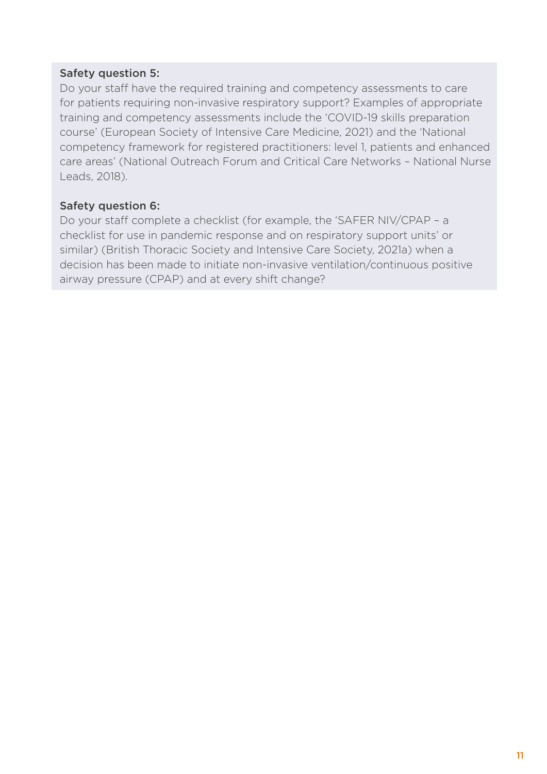#### Safety question 5:

Do your staff have the required training and competency assessments to care for patients requiring non-invasive respiratory support? Examples of appropriate training and competency assessments include the 'COVID-19 skills preparation course' (European Society of Intensive Care Medicine, 2021) and the 'National competency framework for registered practitioners: level 1, patients and enhanced care areas' (National Outreach Forum and Critical Care Networks – National Nurse Leads, 2018).

#### Safety question 6:

Do your staff complete a checklist (for example, the 'SAFER NIV/CPAP – a checklist for use in pandemic response and on respiratory support units' or similar) (British Thoracic Society and Intensive Care Society, 2021a) when a decision has been made to initiate non-invasive ventilation/continuous positive airway pressure (CPAP) and at every shift change?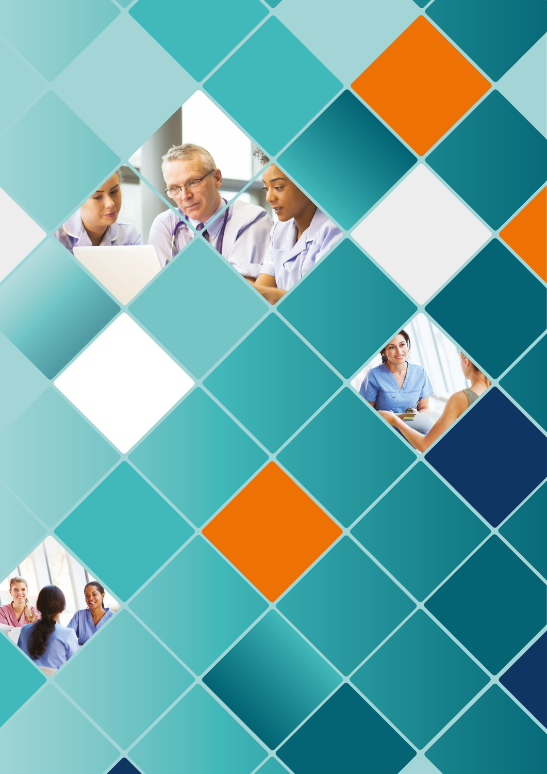